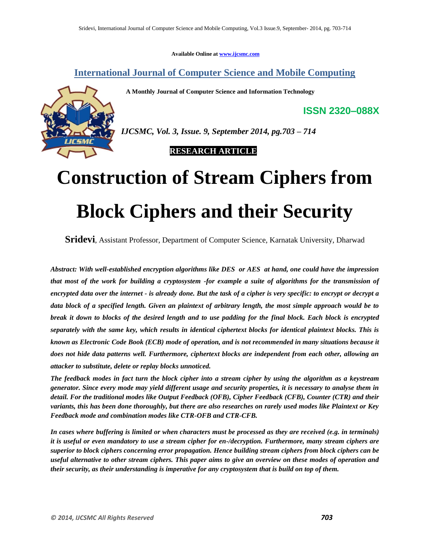**Available Online at www.ijcsmc.com**

**International Journal of Computer Science and Mobile Computing**

 **A Monthly Journal of Computer Science and Information Technology**



*IJCSMC, Vol. 3, Issue. 9, September 2014, pg.703 – 714*

 **RESEARCH ARTICLE**

# **Construction of Stream Ciphers from Block Ciphers and their Security**

**Sridevi**, Assistant Professor, Department of Computer Science, Karnatak University, Dharwad

*Abstract: With well-established encryption algorithms like DES or AES at hand, one could have the impression that most of the work for building a cryptosystem -for example a suite of algorithms for the transmission of encrypted data over the internet - is already done. But the task of a cipher is very specific: to encrypt or decrypt a data block of a specified length. Given an plaintext of arbitrary length, the most simple approach would be to break it down to blocks of the desired length and to use padding for the final block. Each block is encrypted separately with the same key, which results in identical ciphertext blocks for identical plaintext blocks. This is known as Electronic Code Book (ECB) mode of operation, and is not recommended in many situations because it does not hide data patterns well. Furthermore, ciphertext blocks are independent from each other, allowing an attacker to substitute, delete or replay blocks unnoticed.*

*The feedback modes in fact turn the block cipher into a stream cipher by using the algorithm as a keystream generator. Since every mode may yield different usage and security properties, it is necessary to analyse them in detail. For the traditional modes like Output Feedback (OFB), Cipher Feedback (CFB), Counter (CTR) and their variants, this has been done thoroughly, but there are also researches on rarely used modes like Plaintext or Key Feedback mode and combination modes like CTR-OFB and CTR-CFB.*

*In cases where buffering is limited or when characters must be processed as they are received (e.g. in terminals) it is useful or even mandatory to use a stream cipher for en-/decryption. Furthermore, many stream ciphers are superior to block ciphers concerning error propagation. Hence building stream ciphers from block ciphers can be useful alternative to other stream ciphers. This paper aims to give an overview on these modes of operation and their security, as their understanding is imperative for any cryptosystem that is build on top of them.*

**ISSN 2320–088X**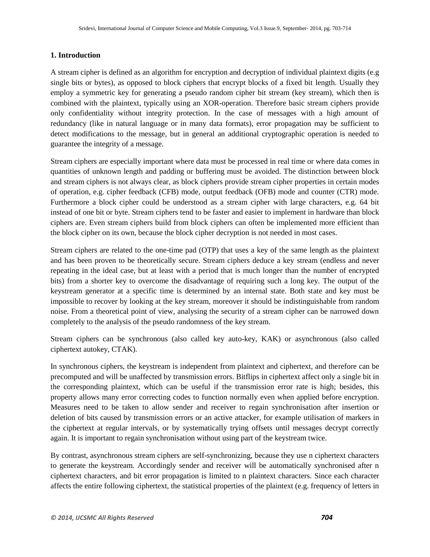## **1. Introduction**

A stream cipher is defined as an algorithm for encryption and decryption of individual plaintext digits (e.g single bits or bytes), as opposed to block ciphers that encrypt blocks of a fixed bit length. Usually they employ a symmetric key for generating a pseudo random cipher bit stream (key stream), which then is combined with the plaintext, typically using an XOR-operation. Therefore basic stream ciphers provide only confidentiality without integrity protection. In the case of messages with a high amount of redundancy (like in natural language or in many data formats), error propagation may be sufficient to detect modifications to the message, but in general an additional cryptographic operation is needed to guarantee the integrity of a message.

Stream ciphers are especially important where data must be processed in real time or where data comes in quantities of unknown length and padding or buffering must be avoided. The distinction between block and stream ciphers is not always clear, as block ciphers provide stream cipher properties in certain modes of operation, e.g. cipher feedback (CFB) mode, output feedback (OFB) mode and counter (CTR) mode. Furthermore a block cipher could be understood as a stream cipher with large characters, e.g. 64 bit instead of one bit or byte. Stream ciphers tend to be faster and easier to implement in hardware than block ciphers are. Even stream ciphers build from block ciphers can often be implemented more efficient than the block cipher on its own, because the block cipher decryption is not needed in most cases.

Stream ciphers are related to the one-time pad (OTP) that uses a key of the same length as the plaintext and has been proven to be theoretically secure. Stream ciphers deduce a key stream (endless and never repeating in the ideal case, but at least with a period that is much longer than the number of encrypted bits) from a shorter key to overcome the disadvantage of requiring such a long key. The output of the keystream generator at a specific time is determined by an internal state. Both state and key must be impossible to recover by looking at the key stream, moreover it should be indistinguishable from random noise. From a theoretical point of view, analysing the security of a stream cipher can be narrowed down completely to the analysis of the pseudo randomness of the key stream.

Stream ciphers can be synchronous (also called key auto-key, KAK) or asynchronous (also called ciphertext autokey, CTAK).

In synchronous ciphers, the keystream is independent from plaintext and ciphertext, and therefore can be precomputed and will be unaffected by transmission errors. Bitflips in ciphertext affect only a single bit in the corresponding plaintext, which can be useful if the transmission error rate is high; besides, this property allows many error correcting codes to function normally even when applied before encryption. Measures need to be taken to allow sender and receiver to regain synchronisation after insertion or deletion of bits caused by transmission errors or an active attacker, for example utilisation of markers in the ciphertext at regular intervals, or by systematically trying offsets until messages decrypt correctly again. It is important to regain synchronisation without using part of the keystream twice.

By contrast, asynchronous stream ciphers are self-synchronizing, because they use n ciphertext characters to generate the keystream. Accordingly sender and receiver will be automatically synchronised after n ciphertext characters, and bit error propagation is limited to n plaintext characters. Since each character affects the entire following ciphertext, the statistical properties of the plaintext (e.g. frequency of letters in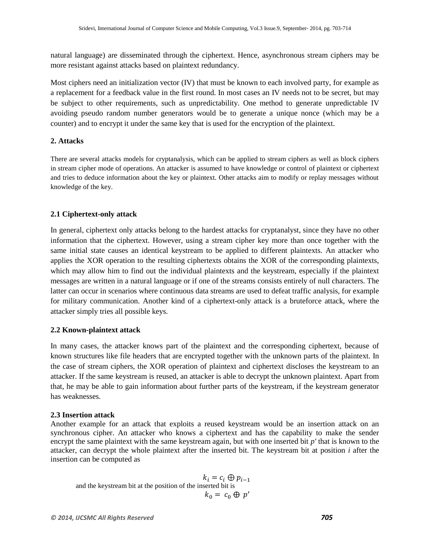natural language) are disseminated through the ciphertext. Hence, asynchronous stream ciphers may be more resistant against attacks based on plaintext redundancy.

Most ciphers need an initialization vector (IV) that must be known to each involved party, for example as a replacement for a feedback value in the first round. In most cases an IV needs not to be secret, but may be subject to other requirements, such as unpredictability. One method to generate unpredictable IV avoiding pseudo random number generators would be to generate a unique nonce (which may be a counter) and to encrypt it under the same key that is used for the encryption of the plaintext.

# **2. Attacks**

There are several attacks models for cryptanalysis, which can be applied to stream ciphers as well as block ciphers in stream cipher mode of operations. An attacker is assumed to have knowledge or control of plaintext or ciphertext and tries to deduce information about the key or plaintext. Other attacks aim to modify or replay messages without knowledge of the key.

# **2.1 Ciphertext-only attack**

In general, ciphertext only attacks belong to the hardest attacks for cryptanalyst, since they have no other information that the ciphertext. However, using a stream cipher key more than once together with the same initial state causes an identical keystream to be applied to different plaintexts. An attacker who applies the XOR operation to the resulting ciphertexts obtains the XOR of the corresponding plaintexts, which may allow him to find out the individual plaintexts and the keystream, especially if the plaintext messages are written in a natural language or if one of the streams consists entirely of null characters. The latter can occur in scenarios where continuous data streams are used to defeat traffic analysis, for example for military communication. Another kind of a ciphertext-only attack is a bruteforce attack, where the attacker simply tries all possible keys.

## **2.2 Known-plaintext attack**

In many cases, the attacker knows part of the plaintext and the corresponding ciphertext, because of known structures like file headers that are encrypted together with the unknown parts of the plaintext. In the case of stream ciphers, the XOR operation of plaintext and ciphertext discloses the keystream to an attacker. If the same keystream is reused, an attacker is able to decrypt the unknown plaintext. Apart from that, he may be able to gain information about further parts of the keystream, if the keystream generator has weaknesses.

## **2.3 Insertion attack**

Another example for an attack that exploits a reused keystream would be an insertion attack on an synchronous cipher. An attacker who knows a ciphertext and has the capability to make the sender encrypt the same plaintext with the same keystream again, but with one inserted bit *p'* that is known to the attacker, can decrypt the whole plaintext after the inserted bit. The keystream bit at position *i* after the insertion can be computed as

 $k_i = c_i \oplus p_{i-1}$ and the keystream bit at the position of the inserted bit is  $k_0 = c_0 \oplus p'$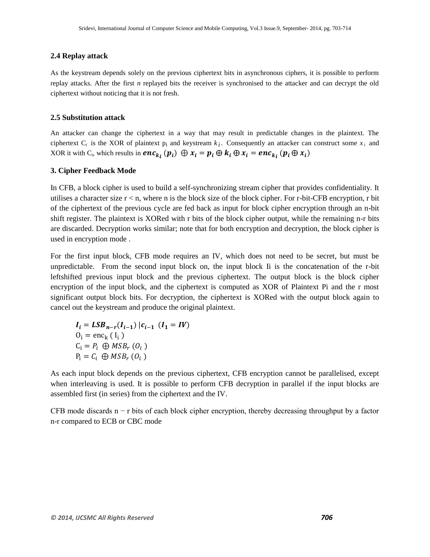## **2.4 Replay attack**

As the keystream depends solely on the previous ciphertext bits in asynchronous ciphers, it is possible to perform replay attacks. After the first *n* replayed bits the receiver is synchronised to the attacker and can decrypt the old ciphertext without noticing that it is not fresh.

#### **2.5 Substitution attack**

An attacker can change the ciphertext in a way that may result in predictable changes in the plaintext. The ciphertext  $C_i$  is the XOR of plaintext  $p_i$  and keystream  $k_i$ . Consequently an attacker can construct some  $x_i$  and XOR it with C<sub>i</sub>, which results in  $enc_{k_i}(p_i) \oplus x_i = p_i \oplus k_i \oplus x_i = enc_{k_i}(p_i \oplus x_i)$ 

#### **3. Cipher Feedback Mode**

In CFB, a block cipher is used to build a self-synchronizing stream cipher that provides confidentiality. It utilises a character size  $r < n$ , where n is the block size of the block cipher. For r-bit-CFB encryption, r bit of the ciphertext of the previous cycle are fed back as input for block cipher encryption through an n-bit shift register. The plaintext is XORed with r bits of the block cipher output, while the remaining n-r bits are discarded. Decryption works similar; note that for both encryption and decryption, the block cipher is used in encryption mode .

For the first input block, CFB mode requires an IV, which does not need to be secret, but must be unpredictable. From the second input block on, the input block Ii is the concatenation of the r-bit leftshifted previous input block and the previous ciphertext. The output block is the block cipher encryption of the input block, and the ciphertext is computed as XOR of Plaintext Pi and the r most significant output block bits. For decryption, the ciphertext is XORed with the output block again to cancel out the keystream and produce the original plaintext.

$$
I_i = LSB_{n-r}(I_{i-1}) | c_{i-1} (I_1 = IV)
$$
  
\n
$$
0_i = \text{enc}_k (I_i)
$$
  
\n
$$
C_i = P_i \bigoplus MSB_r (O_i)
$$
  
\n
$$
P_i = C_i \bigoplus MSB_r (O_i)
$$

As each input block depends on the previous ciphertext, CFB encryption cannot be parallelised, except when interleaving is used. It is possible to perform CFB decryption in parallel if the input blocks are assembled first (in series) from the ciphertext and the IV.

CFB mode discards  $n - r$  bits of each block cipher encryption, thereby decreasing throughput by a factor n-r compared to ECB or CBC mode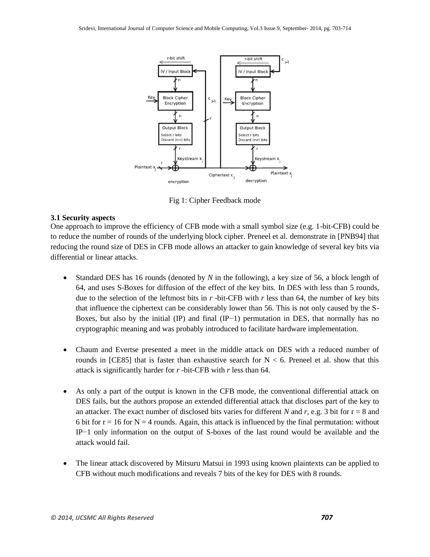

Fig 1: Cipher Feedback mode

# **3.1 Security aspects**

One approach to improve the efficiency of CFB mode with a small symbol size (e.g. 1-bit-CFB) could be to reduce the number of rounds of the underlying block cipher. Preneel et al. demonstrate in [PNB94] that reducing the round size of DES in CFB mode allows an attacker to gain knowledge of several key bits via differential or linear attacks.

- Standard DES has 16 rounds (denoted by *N* in the following), a key size of 56, a block length of 64, and uses S-Boxes for diffusion of the effect of the key bits. In DES with less than 5 rounds, due to the selection of the leftmost bits in *r* -bit-CFB with *r* less than 64, the number of key bits that influence the ciphertext can be considerably lower than 56. This is not only caused by the S-Boxes, but also by the initial (IP) and final (IP−1) permutation in DES, that normally has no cryptographic meaning and was probably introduced to facilitate hardware implementation.
- Chaum and Evertse presented a meet in the middle attack on DES with a reduced number of rounds in [CE85] that is faster than exhaustive search for  $N < 6$ . Preneel et al. show that this attack is significantly harder for *r* -bit-CFB with *r* less than 64.
- As only a part of the output is known in the CFB mode, the conventional differential attack on DES fails, but the authors propose an extended differential attack that discloses part of the key to an attacker. The exact number of disclosed bits varies for different *N* and *r*, e.g. 3 bit for  $r = 8$  and 6 bit for  $r = 16$  for  $N = 4$  rounds. Again, this attack is influenced by the final permutation: without IP−1 only information on the output of S-boxes of the last round would be available and the attack would fail.
- The linear attack discovered by Mitsuru Matsui in 1993 using known plaintexts can be applied to CFB without much modifications and reveals 7 bits of the key for DES with 8 rounds.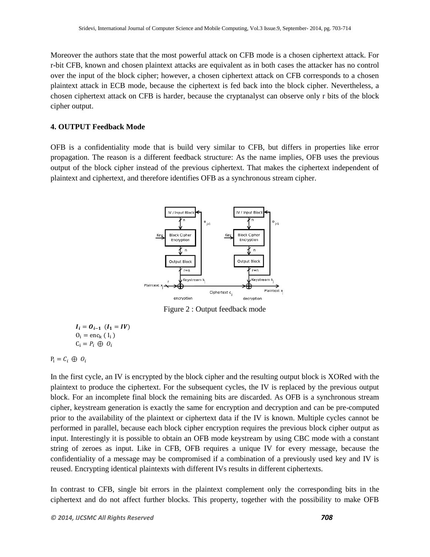Moreover the authors state that the most powerful attack on CFB mode is a chosen ciphertext attack. For r-bit CFB, known and chosen plaintext attacks are equivalent as in both cases the attacker has no control over the input of the block cipher; however, a chosen ciphertext attack on CFB corresponds to a chosen plaintext attack in ECB mode, because the ciphertext is fed back into the block cipher. Nevertheless, a chosen ciphertext attack on CFB is harder, because the cryptanalyst can observe only r bits of the block cipher output.

# **4. OUTPUT Feedback Mode**

OFB is a confidentiality mode that is build very similar to CFB, but differs in properties like error propagation. The reason is a different feedback structure: As the name implies, OFB uses the previous output of the block cipher instead of the previous ciphertext. That makes the ciphertext independent of plaintext and ciphertext, and therefore identifies OFB as a synchronous stream cipher.



Figure 2 : Output feedback mode

$$
I_i = O_{i-1} (I_1 = IV)
$$
  
\n
$$
O_i = enc_k (I_i)
$$
  
\n
$$
C_i = P_i \oplus O_i
$$

$$
P_i = C_i \oplus O_i
$$

In the first cycle, an IV is encrypted by the block cipher and the resulting output block is XORed with the plaintext to produce the ciphertext. For the subsequent cycles, the IV is replaced by the previous output block. For an incomplete final block the remaining bits are discarded. As OFB is a synchronous stream cipher, keystream generation is exactly the same for encryption and decryption and can be pre-computed prior to the availability of the plaintext or ciphertext data if the IV is known. Multiple cycles cannot be performed in parallel, because each block cipher encryption requires the previous block cipher output as input. Interestingly it is possible to obtain an OFB mode keystream by using CBC mode with a constant string of zeroes as input. Like in CFB, OFB requires a unique IV for every message, because the confidentiality of a message may be compromised if a combination of a previously used key and IV is reused. Encrypting identical plaintexts with different IVs results in different ciphertexts.

In contrast to CFB, single bit errors in the plaintext complement only the corresponding bits in the ciphertext and do not affect further blocks. This property, together with the possibility to make OFB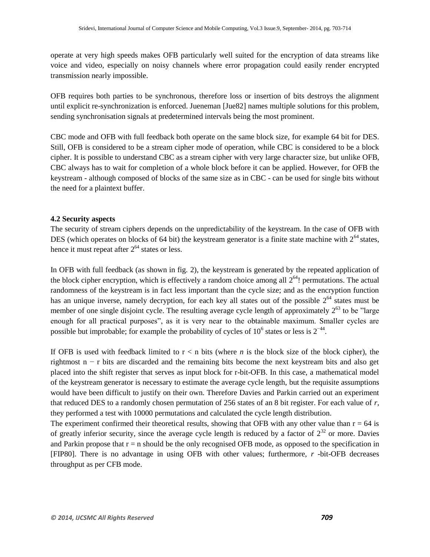operate at very high speeds makes OFB particularly well suited for the encryption of data streams like voice and video, especially on noisy channels where error propagation could easily render encrypted transmission nearly impossible.

OFB requires both parties to be synchronous, therefore loss or insertion of bits destroys the alignment until explicit re-synchronization is enforced. Jueneman [Jue82] names multiple solutions for this problem, sending synchronisation signals at predetermined intervals being the most prominent.

CBC mode and OFB with full feedback both operate on the same block size, for example 64 bit for DES. Still, OFB is considered to be a stream cipher mode of operation, while CBC is considered to be a block cipher. It is possible to understand CBC as a stream cipher with very large character size, but unlike OFB, CBC always has to wait for completion of a whole block before it can be applied. However, for OFB the keystream - although composed of blocks of the same size as in CBC - can be used for single bits without the need for a plaintext buffer.

#### **4.2 Security aspects**

The security of stream ciphers depends on the unpredictability of the keystream. In the case of OFB with DES (which operates on blocks of 64 bit) the keystream generator is a finite state machine with  $2^{64}$  states, hence it must repeat after  $2^{64}$  states or less.

In OFB with full feedback (as shown in fig. 2), the keystream is generated by the repeated application of the block cipher encryption, which is effectively a random choice among all  $2^{64}$ ! permutations. The actual randomness of the keystream is in fact less important than the cycle size; and as the encryption function has an unique inverse, namely decryption, for each key all states out of the possible  $2^{64}$  states must be member of one single disjoint cycle. The resulting average cycle length of approximately  $2^{63}$  to be "large enough for all practical purposes", as it is very near to the obtainable maximum. Smaller cycles are possible but improbable; for example the probability of cycles of  $10^6$  states or less is  $2^{-44}$ .

If OFB is used with feedback limited to  $r < n$  bits (where *n* is the block size of the block cipher), the rightmost n − r bits are discarded and the remaining bits become the next keystream bits and also get placed into the shift register that serves as input block for r-bit-OFB. In this case, a mathematical model of the keystream generator is necessary to estimate the average cycle length, but the requisite assumptions would have been difficult to justify on their own. Therefore Davies and Parkin carried out an experiment that reduced DES to a randomly chosen permutation of 256 states of an 8 bit register. For each value of *r*, they performed a test with 10000 permutations and calculated the cycle length distribution.

The experiment confirmed their theoretical results, showing that OFB with any other value than  $r = 64$  is of greatly inferior security, since the average cycle length is reduced by a factor of  $2^{32}$  or more. Davies and Parkin propose that  $r = n$  should be the only recognised OFB mode, as opposed to the specification in [FIP80]. There is no advantage in using OFB with other values; furthermore, *r* -bit-OFB decreases throughput as per CFB mode.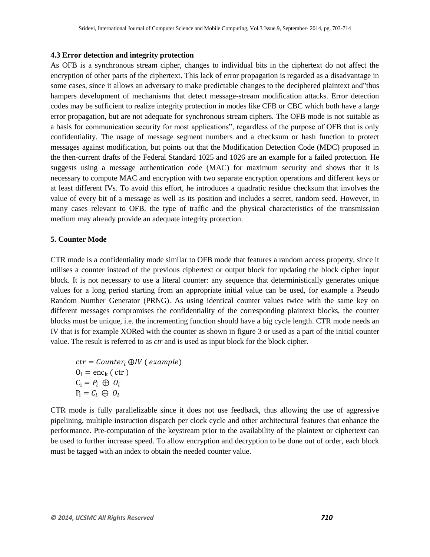#### **4.3 Error detection and integrity protection**

As OFB is a synchronous stream cipher, changes to individual bits in the ciphertext do not affect the encryption of other parts of the ciphertext. This lack of error propagation is regarded as a disadvantage in some cases, since it allows an adversary to make predictable changes to the deciphered plaintext and"thus hampers development of mechanisms that detect message-stream modification attacks. Error detection codes may be sufficient to realize integrity protection in modes like CFB or CBC which both have a large error propagation, but are not adequate for synchronous stream ciphers. The OFB mode is not suitable as a basis for communication security for most applications", regardless of the purpose of OFB that is only confidentiality. The usage of message segment numbers and a checksum or hash function to protect messages against modification, but points out that the Modification Detection Code (MDC) proposed in the then-current drafts of the Federal Standard 1025 and 1026 are an example for a failed protection. He suggests using a message authentication code (MAC) for maximum security and shows that it is necessary to compute MAC and encryption with two separate encryption operations and different keys or at least different IVs. To avoid this effort, he introduces a quadratic residue checksum that involves the value of every bit of a message as well as its position and includes a secret, random seed. However, in many cases relevant to OFB, the type of traffic and the physical characteristics of the transmission medium may already provide an adequate integrity protection.

# **5. Counter Mode**

CTR mode is a confidentiality mode similar to OFB mode that features a random access property, since it utilises a counter instead of the previous ciphertext or output block for updating the block cipher input block. It is not necessary to use a literal counter: any sequence that deterministically generates unique values for a long period starting from an appropriate initial value can be used, for example a Pseudo Random Number Generator (PRNG). As using identical counter values twice with the same key on different messages compromises the confidentiality of the corresponding plaintext blocks, the counter blocks must be unique, i.e. the incrementing function should have a big cycle length. CTR mode needs an IV that is for example XORed with the counter as shown in figure 3 or used as a part of the initial counter value. The result is referred to as *ctr* and is used as input block for the block cipher.

 $ctr = Counter_i \oplus IV$  (example)  $0_i = \text{enc}_{k}$  ( ctr )  $C_i = P_i \oplus O_i$  $P_i = C_i \oplus O_i$ 

CTR mode is fully parallelizable since it does not use feedback, thus allowing the use of aggressive pipelining, multiple instruction dispatch per clock cycle and other architectural features that enhance the performance. Pre-computation of the keystream prior to the availability of the plaintext or ciphertext can be used to further increase speed. To allow encryption and decryption to be done out of order, each block must be tagged with an index to obtain the needed counter value.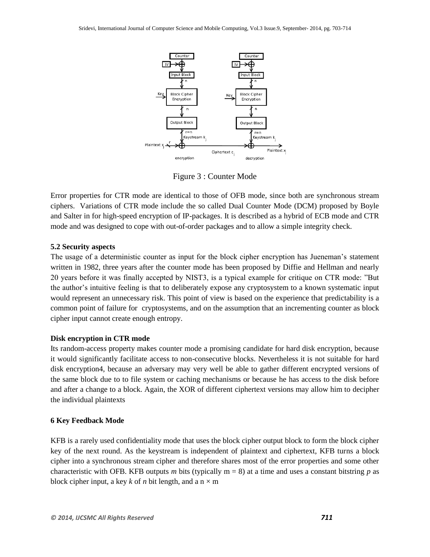

Figure 3 : Counter Mode

Error properties for CTR mode are identical to those of OFB mode, since both are synchronous stream ciphers. Variations of CTR mode include the so called Dual Counter Mode (DCM) proposed by Boyle and Salter in for high-speed encryption of IP-packages. It is described as a hybrid of ECB mode and CTR mode and was designed to cope with out-of-order packages and to allow a simple integrity check.

# **5.2 Security aspects**

The usage of a deterministic counter as input for the block cipher encryption has Jueneman's statement written in 1982, three years after the counter mode has been proposed by Diffie and Hellman and nearly 20 years before it was finally accepted by NIST3, is a typical example for critique on CTR mode: "But the author's intuitive feeling is that to deliberately expose any cryptosystem to a known systematic input would represent an unnecessary risk. This point of view is based on the experience that predictability is a common point of failure for cryptosystems, and on the assumption that an incrementing counter as block cipher input cannot create enough entropy.

# **Disk encryption in CTR mode**

Its random-access property makes counter mode a promising candidate for hard disk encryption, because it would significantly facilitate access to non-consecutive blocks. Nevertheless it is not suitable for hard disk encryption4, because an adversary may very well be able to gather different encrypted versions of the same block due to to file system or caching mechanisms or because he has access to the disk before and after a change to a block. Again, the XOR of different ciphertext versions may allow him to decipher the individual plaintexts

## **6 Key Feedback Mode**

KFB is a rarely used confidentiality mode that uses the block cipher output block to form the block cipher key of the next round. As the keystream is independent of plaintext and ciphertext, KFB turns a block cipher into a synchronous stream cipher and therefore shares most of the error properties and some other characteristic with OFB. KFB outputs *m* bits (typically m = 8) at a time and uses a constant bitstring *p* as block cipher input, a key *k* of *n* bit length, and a  $n \times m$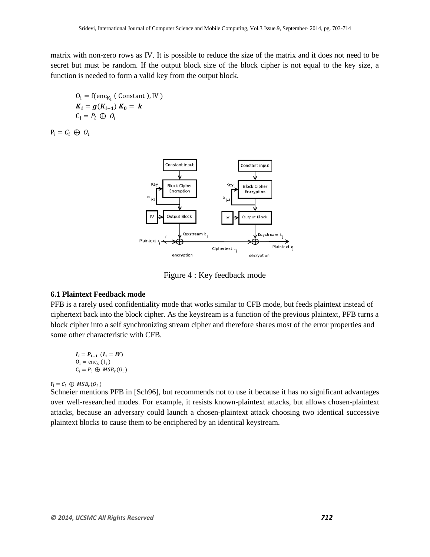matrix with non-zero rows as IV. It is possible to reduce the size of the matrix and it does not need to be secret but must be random. If the output block size of the block cipher is not equal to the key size, a function is needed to form a valid key from the output block.

$$
O_i = f(\text{enc}_{K_i} (\text{Constant}), \text{IV})
$$
  

$$
K_i = g(K_{i-1}) K_0 = k
$$
  

$$
C_i = P_i \oplus O_i
$$

 $P_i = C_i \oplus O_i$ 



Figure 4 : Key feedback mode

# **6.1 Plaintext Feedback mode**

PFB is a rarely used confidentiality mode that works similar to CFB mode, but feeds plaintext instead of ciphertext back into the block cipher. As the keystream is a function of the previous plaintext, PFB turns a block cipher into a self synchronizing stream cipher and therefore shares most of the error properties and some other characteristic with CFB.

$$
I_i = P_{i-1} (I_1 = IV)
$$
  
\n
$$
O_i = \text{enc}_k (I_i)
$$
  
\n
$$
C_i = P_i \oplus MSB_r(O_i)
$$

## $P_i = C_i \oplus MSB_r(O_i)$

Schneier mentions PFB in [Sch96], but recommends not to use it because it has no significant advantages over well-researched modes. For example, it resists known-plaintext attacks, but allows chosen-plaintext attacks, because an adversary could launch a chosen-plaintext attack choosing two identical successive plaintext blocks to cause them to be enciphered by an identical keystream.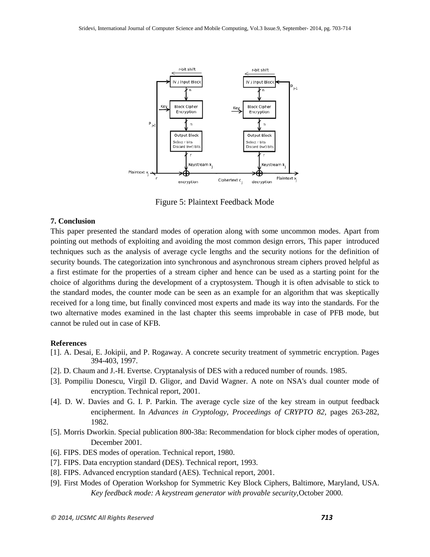

Figure 5: Plaintext Feedback Mode

## **7. Conclusion**

This paper presented the standard modes of operation along with some uncommon modes. Apart from pointing out methods of exploiting and avoiding the most common design errors, This paper introduced techniques such as the analysis of average cycle lengths and the security notions for the definition of security bounds. The categorization into synchronous and asynchronous stream ciphers proved helpful as a first estimate for the properties of a stream cipher and hence can be used as a starting point for the choice of algorithms during the development of a cryptosystem. Though it is often advisable to stick to the standard modes, the counter mode can be seen as an example for an algorithm that was skeptically received for a long time, but finally convinced most experts and made its way into the standards. For the two alternative modes examined in the last chapter this seems improbable in case of PFB mode, but cannot be ruled out in case of KFB.

#### **References**

- [1]. A. Desai, E. Jokipii, and P. Rogaway. A concrete security treatment of symmetric encryption. Pages 394-403, 1997.
- [2]. D. Chaum and J.-H. Evertse. Cryptanalysis of DES with a reduced number of rounds. 1985.
- [3]. Pompiliu Donescu, Virgil D. Gligor, and David Wagner. A note on NSA's dual counter mode of encryption. Technical report, 2001.
- [4]. D. W. Davies and G. I. P. Parkin. The average cycle size of the key stream in output feedback encipherment. In *Advances in Cryptology, Proceedings of CRYPTO 82*, pages 263-282, 1982.
- [5]. Morris Dworkin. Special publication 800-38a: Recommendation for block cipher modes of operation, December 2001.
- [6]. FIPS. DES modes of operation. Technical report, 1980.
- [7]. FIPS. Data encryption standard (DES). Technical report, 1993.
- [8]. FIPS. Advanced encryption standard (AES). Technical report, 2001.
- [9]. First Modes of Operation Workshop for Symmetric Key Block Ciphers, Baltimore, Maryland, USA. *Key feedback mode: A keystream generator with provable security,*October 2000.